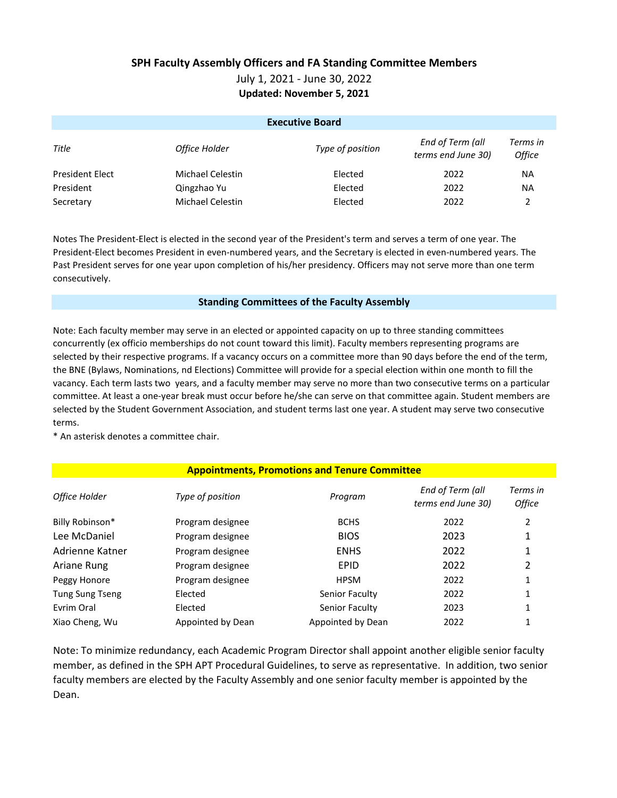## **SPH Faculty Assembly Officers and FA Standing Committee Members**

July 1, 2021 - June 30, 2022

**Updated: November 5, 2021**

| <b>Executive Board</b> |                         |                  |                                        |                                  |  |  |
|------------------------|-------------------------|------------------|----------------------------------------|----------------------------------|--|--|
| Title                  | Office Holder           | Type of position | End of Term (all<br>terms end June 30) | Terms in<br><i><b>Office</b></i> |  |  |
| <b>President Elect</b> | <b>Michael Celestin</b> | Elected          | 2022                                   | <b>NA</b>                        |  |  |
| President              | Qingzhao Yu             | Elected          | 2022                                   | <b>NA</b>                        |  |  |
| Secretary              | <b>Michael Celestin</b> | Elected          | 2022                                   |                                  |  |  |

Notes The President-Elect is elected in the second year of the President's term and serves a term of one year. The President-Elect becomes President in even-numbered years, and the Secretary is elected in even-numbered years. The Past President serves for one year upon completion of his/her presidency. Officers may not serve more than one term consecutively.

## **Standing Committees of the Faculty Assembly**

Note: Each faculty member may serve in an elected or appointed capacity on up to three standing committees concurrently (ex officio memberships do not count toward this limit). Faculty members representing programs are selected by their respective programs. If a vacancy occurs on a committee more than 90 days before the end of the term, the BNE (Bylaws, Nominations, nd Elections) Committee will provide for a special election within one month to fill the vacancy. Each term lasts two years, and a faculty member may serve no more than two consecutive terms on a particular committee. At least a one-year break must occur before he/she can serve on that committee again. Student members are selected by the Student Government Association, and student terms last one year. A student may serve two consecutive terms.

\* An asterisk denotes a committee chair.

## **Appointments, Promotions and Tenure Committee**

| Office Holder          | Type of position  | Program           | End of Term (all<br>terms end June 30) | Terms in<br><b>Office</b> |
|------------------------|-------------------|-------------------|----------------------------------------|---------------------------|
| Billy Robinson*        | Program designee  | <b>BCHS</b>       | 2022                                   | 2                         |
| Lee McDaniel           | Program designee  | <b>BIOS</b>       | 2023                                   | 1                         |
| Adrienne Katner        | Program designee  | <b>ENHS</b>       | 2022                                   | 1                         |
| Ariane Rung            | Program designee  | <b>EPID</b>       | 2022                                   | 2                         |
| Peggy Honore           | Program designee  | <b>HPSM</b>       | 2022                                   | 1                         |
| <b>Tung Sung Tseng</b> | Elected           | Senior Faculty    | 2022                                   | 1                         |
| Evrim Oral             | Elected           | Senior Faculty    | 2023                                   | 1                         |
| Xiao Cheng, Wu         | Appointed by Dean | Appointed by Dean | 2022                                   |                           |

Note: To minimize redundancy, each Academic Program Director shall appoint another eligible senior faculty member, as defined in the SPH APT Procedural Guidelines, to serve as representative. In addition, two senior faculty members are elected by the Faculty Assembly and one senior faculty member is appointed by the Dean.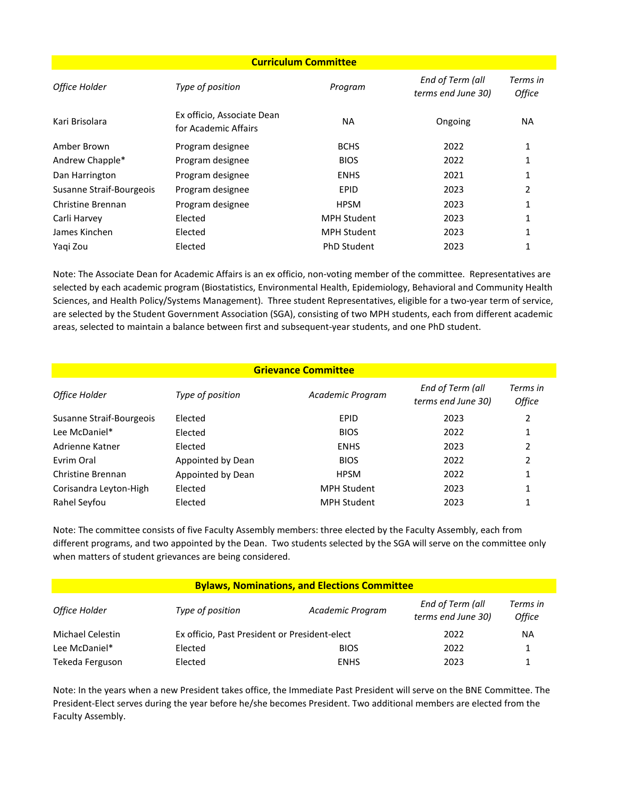| <b>Curriculum Committee</b> |                                                    |                    |                                        |                           |  |
|-----------------------------|----------------------------------------------------|--------------------|----------------------------------------|---------------------------|--|
| Office Holder               | Type of position                                   | Program            | End of Term (all<br>terms end June 30) | Terms in<br><b>Office</b> |  |
| Kari Brisolara              | Ex officio, Associate Dean<br>for Academic Affairs | <b>NA</b>          | Ongoing                                | NA.                       |  |
| Amber Brown                 | Program designee                                   | <b>BCHS</b>        | 2022                                   | 1                         |  |
| Andrew Chapple*             | Program designee                                   | <b>BIOS</b>        | 2022                                   |                           |  |
| Dan Harrington              | Program designee                                   | <b>ENHS</b>        | 2021                                   |                           |  |
| Susanne Straif-Bourgeois    | Program designee                                   | <b>EPID</b>        | 2023                                   | 2                         |  |
| Christine Brennan           | Program designee                                   | <b>HPSM</b>        | 2023                                   |                           |  |
| Carli Harvey                | Elected                                            | <b>MPH Student</b> | 2023                                   |                           |  |
| James Kinchen               | Elected                                            | <b>MPH Student</b> | 2023                                   |                           |  |
| Yagi Zou                    | Elected                                            | <b>PhD Student</b> | 2023                                   |                           |  |

Note: The Associate Dean for Academic Affairs is an ex officio, non-voting member of the committee. Representatives are selected by each academic program (Biostatistics, Environmental Health, Epidemiology, Behavioral and Community Health Sciences, and Health Policy/Systems Management). Three student Representatives, eligible for a two-year term of service, are selected by the Student Government Association (SGA), consisting of two MPH students, each from different academic areas, selected to maintain a balance between first and subsequent-year students, and one PhD student.

| <b>Grievance Committee</b> |                   |                    |                                        |                                  |  |  |
|----------------------------|-------------------|--------------------|----------------------------------------|----------------------------------|--|--|
| Office Holder              | Type of position  | Academic Program   | End of Term (all<br>terms end June 30) | Terms in<br><i><b>Office</b></i> |  |  |
| Susanne Straif-Bourgeois   | Elected           | <b>EPID</b>        | 2023                                   |                                  |  |  |
| Lee McDaniel*              | Elected           | <b>BIOS</b>        | 2022                                   |                                  |  |  |
| Adrienne Katner            | Elected           | <b>ENHS</b>        | 2023                                   |                                  |  |  |
| Evrim Oral                 | Appointed by Dean | <b>BIOS</b>        | 2022                                   | ำ                                |  |  |
| Christine Brennan          | Appointed by Dean | <b>HPSM</b>        | 2022                                   |                                  |  |  |
| Corisandra Leyton-High     | Elected           | <b>MPH Student</b> | 2023                                   |                                  |  |  |
| Rahel Seyfou               | Elected           | <b>MPH Student</b> | 2023                                   |                                  |  |  |

Note: The committee consists of five Faculty Assembly members: three elected by the Faculty Assembly, each from different programs, and two appointed by the Dean. Two students selected by the SGA will serve on the committee only when matters of student grievances are being considered.

| <b>Bylaws, Nominations, and Elections Committee</b> |                                               |                  |                                        |                           |  |  |
|-----------------------------------------------------|-----------------------------------------------|------------------|----------------------------------------|---------------------------|--|--|
| Office Holder                                       | Type of position                              | Academic Program | End of Term (all<br>terms end June 30) | Terms in<br><b>Office</b> |  |  |
| Michael Celestin                                    | Ex officio, Past President or President-elect |                  | 2022                                   | NA                        |  |  |
| Lee McDaniel*                                       | Elected                                       | <b>BIOS</b>      | 2022                                   |                           |  |  |
| Tekeda Ferguson                                     | <b>Flected</b>                                | <b>ENHS</b>      | 2023                                   |                           |  |  |

Note: In the years when a new President takes office, the Immediate Past President will serve on the BNE Committee. The President-Elect serves during the year before he/she becomes President. Two additional members are elected from the Faculty Assembly.